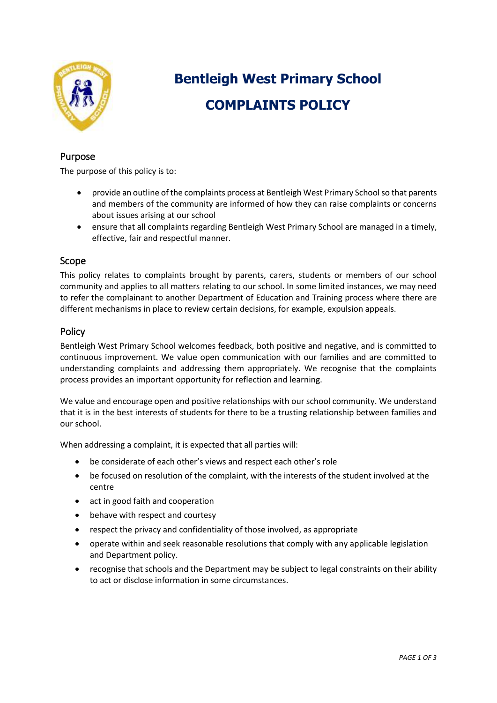

# **Bentleigh West Primary School COMPLAINTS POLICY**

## Purpose

The purpose of this policy is to:

- provide an outline of the complaints process at Bentleigh West Primary Schoolso that parents and members of the community are informed of how they can raise complaints or concerns about issues arising at our school
- ensure that all complaints regarding Bentleigh West Primary School are managed in a timely, effective, fair and respectful manner.

#### Scope

This policy relates to complaints brought by parents, carers, students or members of our school community and applies to all matters relating to our school. In some limited instances, we may need to refer the complainant to another Department of Education and Training process where there are different mechanisms in place to review certain decisions, for example, expulsion appeals.

## **Policy**

Bentleigh West Primary School welcomes feedback, both positive and negative, and is committed to continuous improvement. We value open communication with our families and are committed to understanding complaints and addressing them appropriately. We recognise that the complaints process provides an important opportunity for reflection and learning.

We value and encourage open and positive relationships with our school community. We understand that it is in the best interests of students for there to be a trusting relationship between families and our school.

When addressing a complaint, it is expected that all parties will:

- be considerate of each other's views and respect each other's role
- be focused on resolution of the complaint, with the interests of the student involved at the centre
- act in good faith and cooperation
- behave with respect and courtesy
- respect the privacy and confidentiality of those involved, as appropriate
- operate within and seek reasonable resolutions that comply with any applicable legislation and Department policy.
- recognise that schools and the Department may be subject to legal constraints on their ability to act or disclose information in some circumstances.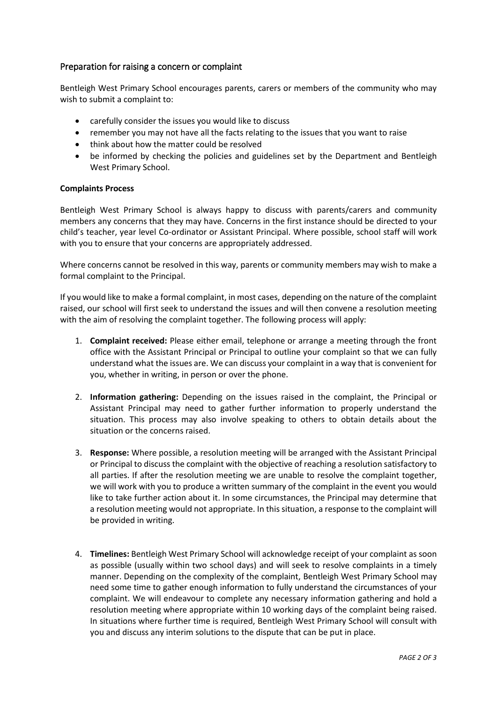## Preparation for raising a concern or complaint

Bentleigh West Primary School encourages parents, carers or members of the community who may wish to submit a complaint to:

- carefully consider the issues you would like to discuss
- remember you may not have all the facts relating to the issues that you want to raise
- think about how the matter could be resolved
- be informed by checking the policies and guidelines set by the Department and Bentleigh West Primary School.

#### **Complaints Process**

Bentleigh West Primary School is always happy to discuss with parents/carers and community members any concerns that they may have. Concerns in the first instance should be directed to your child's teacher, year level Co-ordinator or Assistant Principal. Where possible, school staff will work with you to ensure that your concerns are appropriately addressed.

Where concerns cannot be resolved in this way, parents or community members may wish to make a formal complaint to the Principal.

If you would like to make a formal complaint, in most cases, depending on the nature of the complaint raised, our school will first seek to understand the issues and will then convene a resolution meeting with the aim of resolving the complaint together. The following process will apply:

- 1. **Complaint received:** Please either email, telephone or arrange a meeting through the front office with the Assistant Principal or Principal to outline your complaint so that we can fully understand what the issues are. We can discuss your complaint in a way that is convenient for you, whether in writing, in person or over the phone.
- 2. **Information gathering:** Depending on the issues raised in the complaint, the Principal or Assistant Principal may need to gather further information to properly understand the situation. This process may also involve speaking to others to obtain details about the situation or the concerns raised.
- 3. **Response:** Where possible, a resolution meeting will be arranged with the Assistant Principal or Principal to discuss the complaint with the objective of reaching a resolution satisfactory to all parties. If after the resolution meeting we are unable to resolve the complaint together, we will work with you to produce a written summary of the complaint in the event you would like to take further action about it. In some circumstances, the Principal may determine that a resolution meeting would not appropriate. In this situation, a response to the complaint will be provided in writing.
- 4. **Timelines:** Bentleigh West Primary School will acknowledge receipt of your complaint as soon as possible (usually within two school days) and will seek to resolve complaints in a timely manner. Depending on the complexity of the complaint, Bentleigh West Primary School may need some time to gather enough information to fully understand the circumstances of your complaint. We will endeavour to complete any necessary information gathering and hold a resolution meeting where appropriate within 10 working days of the complaint being raised. In situations where further time is required, Bentleigh West Primary School will consult with you and discuss any interim solutions to the dispute that can be put in place.